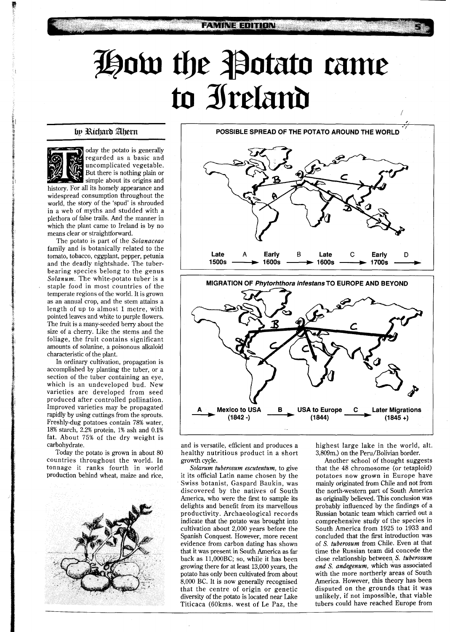# **How the Potato came** to Ireland

**FAMINE EDITION** 

## by Richard Ahern



oday the potato is generally regarded as a basic and uncomplicated vegetable. But there is nothing plain or simple about its origins and

history. For all its homely appearance and widespread consumption throughout the world, the story of the 'spud' is shrouded in a web of myths and studded with a plethora of false trails. And the manner in which the plant came to Ireland is by no means clear or straightforward.

The potato is part of the *Solanaceae*  family and is botanically related to the tomato, tobacco, eggplant, pepper, petunia and the deadly nightshade. The tuberbearing species belong to the genus *Solanum.* The white-potato tuber is a staple food in most countries of the temperate regions of the world. It is grown as an annual crop, and the stem attains a length of up to almost 1 metre, with pointed leaves and white to purple flowers. The fruit is a many-seeded berry about the size of a cherry. Like the stems and the foliage, the fruit contains significant amounts of solanine, a poisonous alkaloid characteristic of the plant.

In ordinary cultivation, propagation is accomplished by planting the tuber, or a section of the tuber containing an eye, which is an undeveloped bud. New varieties are developed from seed produced after controlled pollination. Improved varieties may be propagated rapidly by using cuttings from the sprouts. Freshly-dug potatoes contain 78% water, 18% starch, 2.2% protein, 1% ash and 0.1% fat. About 75% of the dry weight is carbohydrate.

Today the potato is grown in about 80 countries throughout the world. In tonnage it ranks fourth in world production behind wheat, maize and rice,



**POSSIBLE SPREAD OF THE POTATO AROUND THE WORLD** 





and is versatile, efficient and produces a healthy nutritious product in a short growth cycle.

*Solarum tuberosum escutentum,* to give it its official Latin name chosen by the Swiss botanist, Gaspard Baukin, was discovered by the natives of South America, who were the first to sample its delights and benefit from its marvellous productivity. Archaeological records indicate that the potato was brought into cultivation about 2,000 years before the Spanish Conquest. However, more recent evidence from carbon dating has shown that it was present in South America as far back as 11,000BC; so, while it has been growing there for at least 13,000 years, the potato has only been cultivated from about 8,000 BC. It is now generally recognised that the centre of origin or genetic diversity of the potato is located near Lake Titicaca (60kms. west of Le Paz, the

highest large lake in the world, alt. 3,809m.) on the Peru/Bolivian border.

Another school of thought suggests that the 48 chromosome (or tetaploid) potatoes now grown in Europe have mainly originated from Chile and not from the north-western part of South America as originally believed. This conclusion was probably influenced by the findings of a Russian botanic team which carried out a comprehensive study of the species in South America from 1925 to 1933 and concluded that the first introduction was of *S. tuberosum* from Chile. Even at that time the Russian team did concede the close relationship between *S. tuberosum and S. andegenum,* which was associated with the more northerly areas of South America. However, this theory has been disputed on the grounds that it was unlikely, if not impossible, that viable tubers could have reached Europe from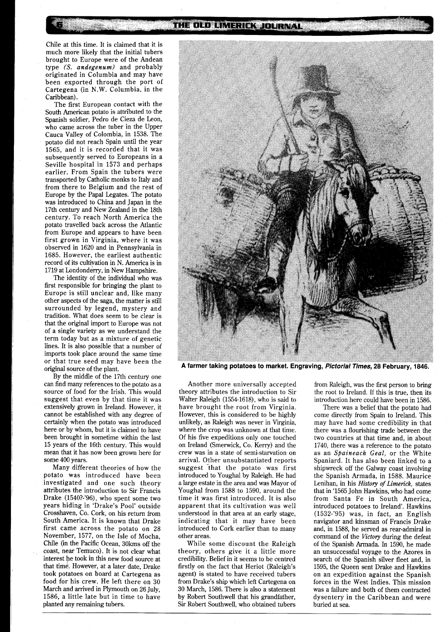Chile at this time. It is claimed that it is much more likely that the initial tubers brought to Europe were of the Andean type *(S. andegenum)* and probably originated in Columbia and may have been exported through the port of Cartegena (in N.W. Columbia, in the Caribbean).

The first European contact with the South American potato is attributed to the Spanish soldier, Pedro de Cieza de Leon, who came across the tuber in the Upper Cauca Valley of Colombia, in 1538. The potato did not reach Spain until the year 1565, and it is recorded that it was subsequently served to Europeans in a Seville hospital in 1573 and perhaps earlier. From Spain the tubers were transported by Catholic monks to Italy and from there to Belgium and the rest of Europe by the Papal Legates. The potato was introduced to China and Japan in the 17th century and New Zealand in the 18th century. To reach North America the potato travelled back across the Atlantic from Europe and appears to have been first grown in Virginia, where it was observed in 1620 and in Pennsylvania in 1685. However, the earliest authentic record of its cultivation in N. America is in 1719 at Londonderry, in New Hampshire.

The identity of the individual who was first responsible for bringing the plant to Europe is still unclear and, like many other aspects of the saga, the matter is still surrounded by legend, mystery and tradition. What does seem to be clear is that the original import to Europe was not of a single variety as we understand the term today but as a mixture of genetic lines. It is also possible that a number of imports took place around the same time or that true seed may have been the original source of the plant.

By the middle of the 17th century one can find many references to the potato as a source of food for the Irish. This would suggest that even by that time it was extensively grown in Ireland. However, it cannot be established with any degree of certainly when the potato was introduced here or by whom, but it is claimed to have been brought in sometime within the last 15 years of the 16th century. This would mean that it has now been grown here for some 400 years.

Many different theories of how the potato was introduced have been investigated and one such theory attributes the introduction to Sir Francis Drake (1540?-'96), who spent some two years hiding in 'Drake's Pool' outside Crosshaven, Co. Cork, on his return from South America. It is known that Drake first came across the potato on 28 November, 1577, on the Isle of Mocha, Chile (in the Pacific Ocean, 30kms off the coast, near Temuco). It is not clear what interest he took in this new food source at that time. However, at a later date, Drake took potatoes on board at Cartegena as food for his crew. He left there on 30 March and arrived in Plymouth on 26 July, 1586, a little late but in time to have planted any remaining tubers.



A farmer taking potatoes to market. Engraving, Pictorial Times, 28 February, 1846.

Another more universally accepted theory attributes the introduction to Sir Walter Raleigh (1554-1618), who is said to have brought the root from Virginia. However, this is considered to be highly unlikely, as Raleigh was never in Virginia, where the crop was unknown at that time. Of his five expeditions only one touched on Ireland (Smenvick, Co. Kerry) and the crew was in a state of semi-starvation on arrival. Other unsubstantiated reports suggest "that the potato was first introduced to Youghal by Raleigh. He had a large estate in the area and was Mayor of Youghal from 1588 to 1590, around the time it was first introduced. It is also apparent that its cultivation was well understood in that area at an early stage, indicating that it may have been introduced to Cork earlier than to many other areas.

While some discount the Raleigh theory, others give it a little more credibility. Belief in it seems to be centred firstly on the fact that Heriot (Raleigh's agent) is stated to have received tubers from Drake's ship which left Cartegena on 30 March, 1586. There is also a statement by Robert Southwell that his grandfather, Sir Robert Southwell, who obtained tubers

from Raleigh, was the first person to bring the root to Ireland. If this is true, then its introduction here could have been in 1586.

There was a belief that the potato had come directly from Spain to Ireland. This may have had some credibility in that there was a flourishing trade between the two countries at that time and, in about 1740, there was a reference to the potato as an *Spaineach Geal,* or the White Spaniard. It has also been linked to a shipwreck off the Galway coast involving the Spanish Armada, in 1588. Maurice Lenihan, in his *History of Limerick,* states that in '1565 John Hawkins, who had come from Santa Fe in South America, introduced potatoes to Ireland'. Hawkins (1532-'95) was, in fact, an English navigator and kinsman of Francis Drake and, in 1588, he served as rear-admiral in command of the *Victory* during the defeat of the Spanish Armada. In 1590, he made an unsuccessful voyage to the Azores in search of the Spanish silver fleet and, in 1595, the Queen sent Drake and Hawkins on an expedition against the Spanish forces in the West Indies. This mission was a failure and both of them contracted dysentery in the Caribbean and were buried at sea.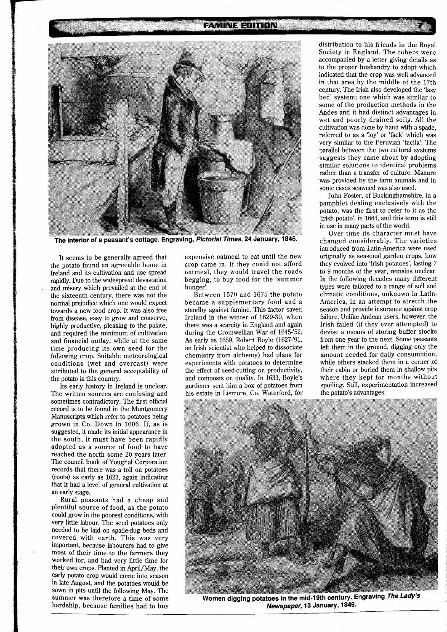### **FAMINE EDITION**



The interior of a peasant's cottage. Engraving, Pictorial Times, 24 January, 1846.

It seems to be generally agreed that the potato found an agreeable home in Ireland and its cultivation and use spread rapidly. Due to the widespread devastation and misery which prevailed at the end of the sixteenth century, there was not the normal prejudice which one would expect towards a new food crop. It was also free from disease, easy to grow and conserve, highly productive, pleasing to the palate, and required the minimum of cultivation and financial outlay, while at the same time producing its own seed for the following crop. Suitable meteorological conditions (wet and overcast) were attributed to the general acceptability of the potato in this country.

Its early history in Ireland is unclear. The written sources are confusing and sometimes contradictory. The first official record is to be found in the Montgomery Manuscripts which refer to potatoes being grown in Co. Down in 1606. If, as is suggested, it made its initial appearance in the south, it must have been rapidly adopted as a source of food to have reached the north some 20 years later. The council book of Youghal Corporation records that there was a toll on potatoes (roots) as early as 1623, again indicating that it had a level of general cultivation at an early stage.

Rural peasants had a cheap and plentiful source of food, as the potato could grow in the poorest conditions, with very little labour. The seed potatoes only needed to be laid on spade-dug beds and covered with earth. This was very important, because labourers had to give most of their time to the farmers they worked for, and had very little time for their own crops. Planted in April/May, the early Potato crop would come into season in late August, and the potatoes would be summer was therefore a time of some hardship, because families had to buy

expensive oatmeal to eat until the new crop came in. If they could not afford oatmeal, they would travel the roads begging, to buy food for the 'summer hunger'.

Between 1570 and 1675 the potato became a supplementary food and a standby against famine. This factor saved Ireland in the winter of 1629-30, when there was a scarcity in England and again during the Cromwellian War of 1645-'52. As early as 1659, Robert Boyle (1627-'91, an Irish scientist who helped to dissociate chemistry from alchemy) had plans for experiments with potatoes to determine the effect of seed-cutting on productivity, and composts on quality. In 1633, Boyle's gardener sent him a box of potatoes from his estate in Lismore, Co. Waterford, for

distribution to his friends in the Royal Society in England. The tubers were accompanied by a letter giving details as to the proper husbandry to adopt which indicated that the crop was well advanced in that area by the middle of the 17th century. The Irish also developed the 'lazy bed' system; one which was similar to some of the production methods in the Andes and it had distinct advantages in wet and poorly drained soils. All the cultivation was done by hand with a spade, referred to as a 'loy' or 'fack' which was very similar to the Peruvian 'taclla'. The parallel between the two cultural systems suggests they came about by adopting similar solutions to identical problems rather than a transfer of culture. Manure was provided by the farm animals and in some cases seaweed was also used.

John Foster, of Buckinghamshire, in a pamphlet dealing exclusively with the potato, was the first to refer to it as the 'Irish potato', in 1664, and this term is still in use in many parts of the world.

Over time its character must have changed considerably. The varieties introduced from Latin-America were used originally as seasonal garden crops; how they evolved into 'Irish potatoes', lasting 7 to 9 months of the year, remains unclear. In the following decades many different types were tailored to a range of soil and climatic conditions, unknown in Latin-America, in an attempt to stretch the season and provide insurance against crop failure. Unlike Andean users, however, the Irish failed (if they ever attempted) to devise a means of storing buffer stocks from one year to the next. Some peasants left them in the ground, digging only the amount needed for daily consumption, while others stacked them in a corner of their cabin or buried them in shallow pits where they kept for months without spoiling. Still, experimentation increased the potato's advantages.



Women digging potatoes in the mid-19th century. Engraving The Lady's **Newmaner. 13 January, 1849.**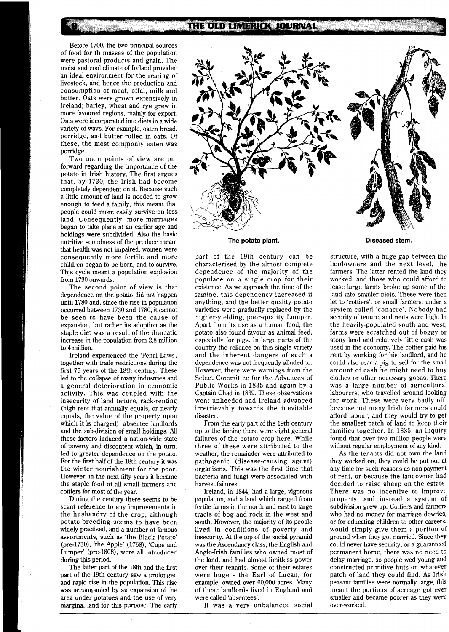# THE OLD LIMERICK JOURNAL

Before 1700, the two principal sources of food for th masses of the population were pastoral products and grain. The moist and cool climate of Ireland provided an ideal environment for the rearing of livestock, and hence the production and consumption of meat, offal, milk and butter. Oats were grown extensively in Ireland; barley, wheat and rye grew in more favoured regions, mainly for export. Oats were incorporated into diets in a wide variety of ways. For example, oaten bread, porridge, and butter rolled in oats. Of these, the most componly eaten was porridge.

Two main points of view are put forward regarding the importance of the potato in Irish history. The first argues that, by 1730, the Irish had become completely dependent on it. Because such a little amount of land is needed to grow enough to feed a family, this meant that people could more easily survive on less land. Consequently, more marriages began to take place at an earlier age and holdings were subdivided. Also the basic nutritive soundness of the produce meant that health was not impaired, women were consequently more fertile and more children began to be born, and to survive. This cycle meant a population explosion from 1730 onwards.

The second point of view is that dependence on the potato did not happen until 1780 and, since the rise in population occurred between 1730 and 1780, it cannot be seen to have been the cause of expansion, but rather its adoption as the staple diet was a result of the dramatic increase in the population from 2.8 million to 4 million.

Ireland experienced the 'Penal Laws', together with trade restrictions during the first 75 years of the 18th century. These led to the collapse of many industries and a general deterioration in economic activity. This was coupled with the insecurity of land tenure, rack-renting (high rent that annually equals, or nearly equals, the value of the property upon which it is charged), absentee landlords and the sub-division of small holdings. All these factors induced a nation-wide state of poverty and discontent which, in turn, led to greater dependence on the potato. For the first half of the 18th century it was the winter nourishment for the poor. However, in the next **fifty** years it became the staple food of all small farmers and cottiers for most of the year.

During the century there seems to be scant reference to any improvements in the husbandry of the crop, although potato-breeding seems to have been widely practised, and a number of famous assortments, such as 'the Black Potato' (pre-1730), 'the Apple' (1768), 'Cups and Lumper' (pre-1808), were all introduced during this period.

The latter part of the 18th and the first part of the 19th century saw a prolonged and rapid rise in the population. This rise was accompanied by an expansion of the area under potatoes and the use of very marginal land for this purpose. The early



## **The potato plant.**

part of the 19th century can be characterised by the almost complete dependence of the majority of the populace on a single crop for their existence. **As** we approach the time of the famine, this dependency increased if anything, and the better quality potato varieties were gradually replaced by the higher-yielding, poor-quality Lumper. Apart from its use as a human food, the potato also found favour as animal feed, especially for pigs. In large parts of the country the reliance on this single variety and the inherent dangers of such a dependence was not frequently alluded to. However, there were warnings from the Select Committee for the Advances of Public Works in 1835 and again by a Captain Chad in 1839. These observations went unheeded and Ireland advanced irretrievably towards the inevitable disaster.

From the early part of the 19th century up to the famine there were eight general failures of the potato crop here. While three of these were attributed to the weather, the remainder were attributed to pathpgenic (disease-causing agent) organisms. This was the first time that bacteria and fungi were associated with harvest failures.

Ireland, in 1844, had a large, vigorous population, and a land which ranged from fertile farms in the north and east to large tracts of bog and rock in the west and south. However, the majority of its people lived in conditions of poverty and insecurity. At the top of the social pyramid was the Ascendancy class, the English and Anglo-Irish families who owned most of the land, and had almost limitless power over their tenants. Some of their estates were huge - the Earl of Lucan, for example, owned over 60,000 acres. Many of these landlords lived in England and were called 'absentees'.

It was a very unbalanced social

#### **Diseased stem.**

structure, with a huge gap between the landowners and the next level, the farmers. The latter rented the land they worked, and those who could afford to lease large farms broke up some of the land into smaller plots. These were then let to 'cottiers', or small farmers, under a system called 'conacre'. Nobody had security of tenure, and rents were high. In the heavily-populated south and west, farms were scratched out of boggy or stony land and relatively little cash was used in the economy. The cottier paid his rent by working for his landlord, and he could also rear a pig to sell for the small amount of cash he might need to buy clothes or other necessary goods. There was a large number of agricultural labourers, who travelled around looking for work. These were very badly off, because not many Irish farmers could afford labour, and they would try to get the smallest patch of land to keep their families together. In 1835, an inquiry found that over two million people were without regular employment of any kind.

As the tenants did not own the land they worked on, they could be put out at any time for such reasons as non-payment of rent, or because the landowner had decided to raise sheep on the estate. There was no incentive to improve property, and instead a system of subdivision grew up. Cottiers and farmers who had no money for marriage dowries, or for educating children to other careers, would simply give them a portion of ground when they got married. Since they could never have security, or a guaranteed permanent home, there was no need to delay marriage, so people wed young and constructed primitive huts on whatever patch of land they could find. As Irish peasant families were normally large, this meant the portions of acreage got ever smaller and became poorer as they were over-worked.